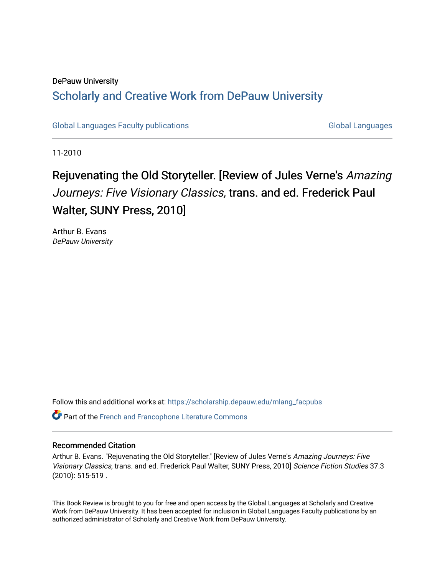### DePauw University Scholarly and [Creative Work from DePauw Univ](https://scholarship.depauw.edu/)ersity

[Global Languages Faculty publications](https://scholarship.depauw.edu/mlang_facpubs) [Global Languages](https://scholarship.depauw.edu/modernlanguages) Global Languages

11-2010

## Rejuvenating the Old Storyteller. [Review of Jules Verne's Amazing Journeys: Five Visionary Classics, trans. and ed. Frederick Paul Walter, SUNY Press, 2010]

Arthur B. Evans DePauw University

Follow this and additional works at: [https://scholarship.depauw.edu/mlang\\_facpubs](https://scholarship.depauw.edu/mlang_facpubs?utm_source=scholarship.depauw.edu%2Fmlang_facpubs%2F36&utm_medium=PDF&utm_campaign=PDFCoverPages)

**P** Part of the French and Francophone Literature Commons

### Recommended Citation

Arthur B. Evans. "Rejuvenating the Old Storyteller." [Review of Jules Verne's Amazing Journeys: Five Visionary Classics, trans. and ed. Frederick Paul Walter, SUNY Press, 2010] Science Fiction Studies 37.3 (2010): 515-519 .

This Book Review is brought to you for free and open access by the Global Languages at Scholarly and Creative Work from DePauw University. It has been accepted for inclusion in Global Languages Faculty publications by an authorized administrator of Scholarly and Creative Work from DePauw University.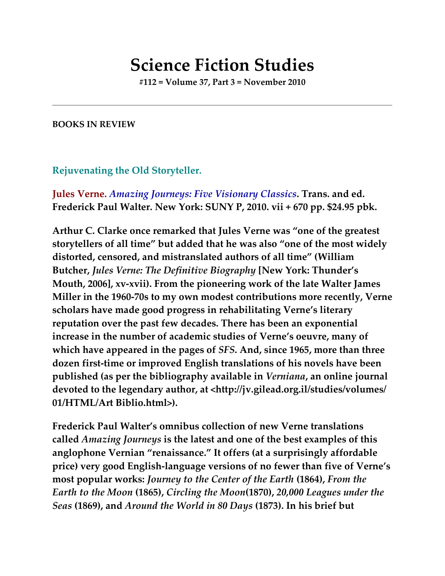# **Science Fiction Studies**

**#112 = Volume 37, Part 3 = November 2010**

### **BOOKS IN REVIEW**

### **Rejuvenating the Old Storyteller.**

**Jules Verne.** *Amazing Journeys: Five Visionary Classics***. Trans. and ed. Frederick Paul Walter. New York: SUNY P, 2010. vii + 670 pp. \$24.95 pbk.**

**Arthur C. Clarke once remarked that Jules Verne was "one of the greatest storytellers of all time" but added that he was also "one of the most widely distorted, censored, and mistranslated authors of all time" (William Butcher,** *Jules Verne: The Definitive Biography* **[New York: Thunder's Mouth, 2006], xv-xvii). From the pioneering work of the late Walter James Miller in the 1960-70s to my own modest contributions more recently, Verne scholars have made good progress in rehabilitating Verne's literary reputation over the past few decades. There has been an exponential increase in the number of academic studies of Verne's oeuvre, many of which have appeared in the pages of** *SFS***. And, since 1965, more than three dozen first-time or improved English translations of his novels have been published (as per the bibliography available in** *Verniana***, an online journal devoted to the legendary author, at <http://jv.gilead.org.il/studies/volumes/ 01/HTML/Art Biblio.html>).**

**Frederick Paul Walter's omnibus collection of new Verne translations called** *Amazing Journeys* **is the latest and one of the best examples of this anglophone Vernian "renaissance." It offers (at a surprisingly affordable price) very good English-language versions of no fewer than five of Verne's most popular works:** *Journey to the Center of the Earth* **(1864),** *From the Earth to the Moon* **(1865),** *Circling the Moon***(1870),** *20,000 Leagues under the Seas* **(1869), and** *Around the World in 80 Days* **(1873). In his brief but**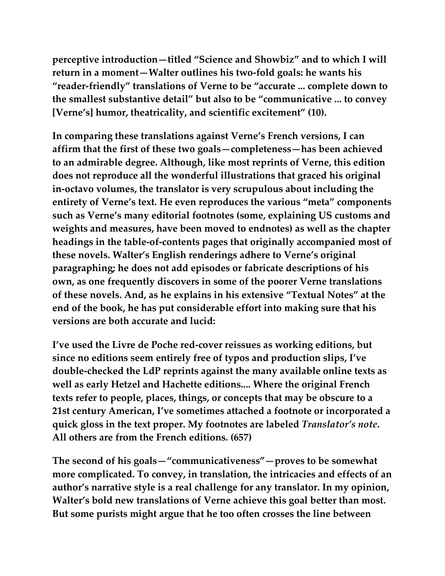**perceptive introduction—titled "Science and Showbiz" and to which I will return in a moment—Walter outlines his two-fold goals: he wants his "reader-friendly" translations of Verne to be "accurate ... complete down to the smallest substantive detail" but also to be "communicative ... to convey [Verne's] humor, theatricality, and scientific excitement" (10).**

**In comparing these translations against Verne's French versions, I can affirm that the first of these two goals—completeness—has been achieved to an admirable degree. Although, like most reprints of Verne, this edition does not reproduce all the wonderful illustrations that graced his original in-octavo volumes, the translator is very scrupulous about including the entirety of Verne's text. He even reproduces the various "meta" components such as Verne's many editorial footnotes (some, explaining US customs and weights and measures, have been moved to endnotes) as well as the chapter headings in the table-of-contents pages that originally accompanied most of these novels. Walter's English renderings adhere to Verne's original paragraphing; he does not add episodes or fabricate descriptions of his own, as one frequently discovers in some of the poorer Verne translations of these novels. And, as he explains in his extensive "Textual Notes" at the end of the book, he has put considerable effort into making sure that his versions are both accurate and lucid:**

**I've used the Livre de Poche red-cover reissues as working editions, but since no editions seem entirely free of typos and production slips, I've double-checked the LdP reprints against the many available online texts as well as early Hetzel and Hachette editions.... Where the original French texts refer to people, places, things, or concepts that may be obscure to a 21st century American, I've sometimes attached a footnote or incorporated a quick gloss in the text proper. My footnotes are labeled** *Translator's note***. All others are from the French editions. (657)**

**The second of his goals—"communicativeness"—proves to be somewhat more complicated. To convey, in translation, the intricacies and effects of an author's narrative style is a real challenge for any translator. In my opinion, Walter's bold new translations of Verne achieve this goal better than most. But some purists might argue that he too often crosses the line between**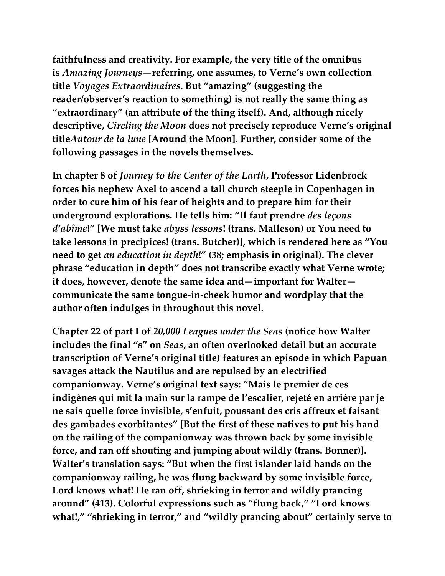**faithfulness and creativity. For example, the very title of the omnibus is** *Amazing Journeys***—referring, one assumes, to Verne's own collection title** *Voyages Extraordinaires***. But "amazing" (suggesting the reader/observer's reaction to something) is not really the same thing as "extraordinary" (an attribute of the thing itself). And, although nicely descriptive,** *Circling the Moon* **does not precisely reproduce Verne's original title***Autour de la lune* **[Around the Moon]. Further, consider some of the following passages in the novels themselves.**

**In chapter 8 of** *Journey to the Center of the Earth***, Professor Lidenbrock forces his nephew Axel to ascend a tall church steeple in Copenhagen in order to cure him of his fear of heights and to prepare him for their underground explorations. He tells him: "Il faut prendre** *des leçons d'abîme***!" [We must take** *abyss lessons***! (trans. Malleson) or You need to take lessons in precipices! (trans. Butcher)], which is rendered here as "You need to get** *an education in depth***!" (38; emphasis in original). The clever phrase "education in depth" does not transcribe exactly what Verne wrote; it does, however, denote the same idea and—important for Walter communicate the same tongue-in-cheek humor and wordplay that the author often indulges in throughout this novel.**

**Chapter 22 of part I of** *20,000 Leagues under the Seas* **(notice how Walter includes the final "s" on** *Seas***, an often overlooked detail but an accurate transcription of Verne's original title) features an episode in which Papuan savages attack the Nautilus and are repulsed by an electrified companionway. Verne's original text says: "Mais le premier de ces indigènes qui mit la main sur la rampe de l'escalier, rejeté en arrière par je ne sais quelle force invisible, s'enfuit, poussant des cris affreux et faisant des gambades exorbitantes" [But the first of these natives to put his hand on the railing of the companionway was thrown back by some invisible force, and ran off shouting and jumping about wildly (trans. Bonner)]. Walter's translation says: "But when the first islander laid hands on the companionway railing, he was flung backward by some invisible force, Lord knows what! He ran off, shrieking in terror and wildly prancing around" (413). Colorful expressions such as "flung back," "Lord knows what!," "shrieking in terror," and "wildly prancing about" certainly serve to**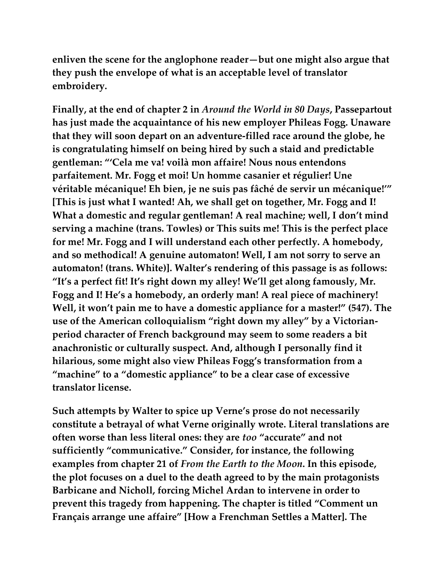**enliven the scene for the anglophone reader—but one might also argue that they push the envelope of what is an acceptable level of translator embroidery.**

**Finally, at the end of chapter 2 in** *Around the World in 80 Days***, Passepartout has just made the acquaintance of his new employer Phileas Fogg. Unaware that they will soon depart on an adventure-filled race around the globe, he is congratulating himself on being hired by such a staid and predictable gentleman: "'Cela me va! voilà mon affaire! Nous nous entendons parfaitement. Mr. Fogg et moi! Un homme casanier et régulier! Une véritable mécanique! Eh bien, je ne suis pas fâché de servir un mécanique!'" [This is just what I wanted! Ah, we shall get on together, Mr. Fogg and I! What a domestic and regular gentleman! A real machine; well, I don't mind serving a machine (trans. Towles) or This suits me! This is the perfect place for me! Mr. Fogg and I will understand each other perfectly. A homebody, and so methodical! A genuine automaton! Well, I am not sorry to serve an automaton! (trans. White)]. Walter's rendering of this passage is as follows: "It's a perfect fit! It's right down my alley! We'll get along famously, Mr. Fogg and I! He's a homebody, an orderly man! A real piece of machinery! Well, it won't pain me to have a domestic appliance for a master!" (547). The use of the American colloquialism "right down my alley" by a Victorianperiod character of French background may seem to some readers a bit anachronistic or culturally suspect. And, although I personally find it hilarious, some might also view Phileas Fogg's transformation from a "machine" to a "domestic appliance" to be a clear case of excessive translator license.**

**Such attempts by Walter to spice up Verne's prose do not necessarily constitute a betrayal of what Verne originally wrote. Literal translations are often worse than less literal ones: they are** *too* **"accurate" and not sufficiently "communicative." Consider, for instance, the following examples from chapter 21 of** *From the Earth to the Moon***. In this episode, the plot focuses on a duel to the death agreed to by the main protagonists Barbicane and Nicholl, forcing Michel Ardan to intervene in order to prevent this tragedy from happening. The chapter is titled "Comment un Français arrange une affaire" [How a Frenchman Settles a Matter]. The**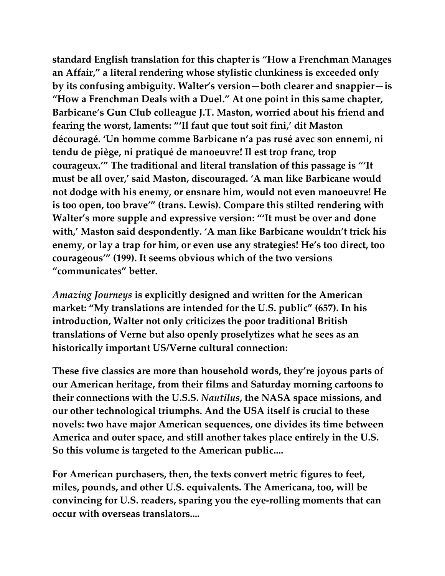**standard English translation for this chapter is "How a Frenchman Manages an Affair," a literal rendering whose stylistic clunkiness is exceeded only by its confusing ambiguity. Walter's version—both clearer and snappier—is "How a Frenchman Deals with a Duel." At one point in this same chapter, Barbicane's Gun Club colleague J.T. Maston, worried about his friend and fearing the worst, laments: "'Il faut que tout soit fini,' dit Maston découragé. 'Un homme comme Barbicane n'a pas rusé avec son ennemi, ni tendu de piège, ni pratiqué de manoeuvre! Il est trop franc, trop courageux.'" The traditional and literal translation of this passage is "'It must be all over,' said Maston, discouraged. 'A man like Barbicane would not dodge with his enemy, or ensnare him, would not even manoeuvre! He is too open, too brave'" (trans. Lewis). Compare this stilted rendering with Walter's more supple and expressive version: "'It must be over and done with,' Maston said despondently. 'A man like Barbicane wouldn't trick his enemy, or lay a trap for him, or even use any strategies! He's too direct, too courageous'" (199). It seems obvious which of the two versions "communicates" better.**

*Amazing Journeys* **is explicitly designed and written for the American market: "My translations are intended for the U.S. public" (657). In his introduction, Walter not only criticizes the poor traditional British translations of Verne but also openly proselytizes what he sees as an historically important US/Verne cultural connection:**

**These five classics are more than household words, they're joyous parts of our American heritage, from their films and Saturday morning cartoons to their connections with the U.S.S.** *Nautilus***, the NASA space missions, and our other technological triumphs. And the USA itself is crucial to these novels: two have major American sequences, one divides its time between America and outer space, and still another takes place entirely in the U.S. So this volume is targeted to the American public....**

**For American purchasers, then, the texts convert metric figures to feet, miles, pounds, and other U.S. equivalents. The Americana, too, will be convincing for U.S. readers, sparing you the eye-rolling moments that can occur with overseas translators....**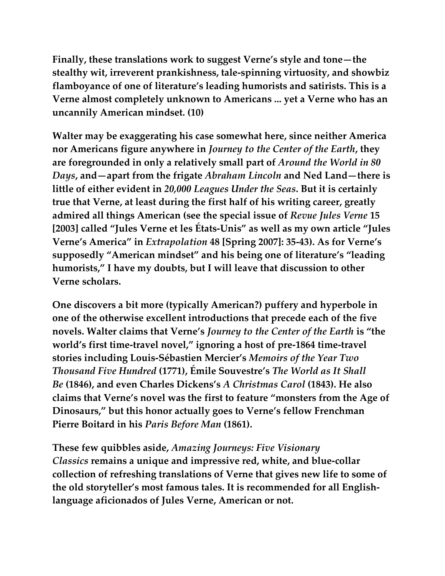**Finally, these translations work to suggest Verne's style and tone—the stealthy wit, irreverent prankishness, tale-spinning virtuosity, and showbiz flamboyance of one of literature's leading humorists and satirists. This is a Verne almost completely unknown to Americans ... yet a Verne who has an uncannily American mindset. (10)**

**Walter may be exaggerating his case somewhat here, since neither America nor Americans figure anywhere in** *Journey to the Center of the Earth***, they are foregrounded in only a relatively small part of** *Around the World in 80 Days***, and—apart from the frigate** *Abraham Lincoln* **and Ned Land—there is little of either evident in** *20,000 Leagues Under the Seas***. But it is certainly true that Verne, at least during the first half of his writing career, greatly admired all things American (see the special issue of** *Revue Jules Verne* **15 [2003] called "Jules Verne et les États-Unis" as well as my own article "Jules Verne's America" in** *Extrapolation* **48 [Spring 2007]: 35-43). As for Verne's supposedly "American mindset" and his being one of literature's "leading humorists," I have my doubts, but I will leave that discussion to other Verne scholars.**

**One discovers a bit more (typically American?) puffery and hyperbole in one of the otherwise excellent introductions that precede each of the five novels. Walter claims that Verne's** *Journey to the Center of the Earth* **is "the world's first time-travel novel," ignoring a host of pre-1864 time-travel stories including Louis-Sébastien Mercier's** *Memoirs of the Year Two Thousand Five Hundred* **(1771), Émile Souvestre's** *The World as It Shall Be* **(1846), and even Charles Dickens's** *A Christmas Carol* **(1843). He also claims that Verne's novel was the first to feature "monsters from the Age of Dinosaurs," but this honor actually goes to Verne's fellow Frenchman Pierre Boitard in his** *Paris Before Man* **(1861).**

**These few quibbles aside,** *Amazing Journeys: Five Visionary Classics* **remains a unique and impressive red, white, and blue-collar collection of refreshing translations of Verne that gives new life to some of the old storyteller's most famous tales. It is recommended for all Englishlanguage aficionados of Jules Verne, American or not.**